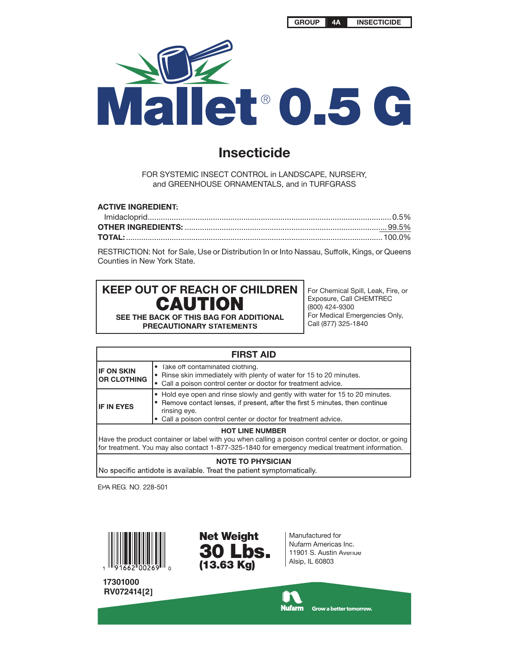

## **Insecticide**

FOR SYSTEMIC INSECT CONTROL in LANDSCAPE, NURSERY, and GREENHOUSE ORNAMENTALS, and in TURFGRASS

| <b>ACTIVE INGREDIENT:</b> |  |
|---------------------------|--|
|                           |  |
|                           |  |
|                           |  |

RESTRICTION: Not for Sale, Use or Distribution In or Into Nassau, Suffolk, Kings, or Queens Counties in New York State.

# **KEEP OUT OF REACH OF CHILDREN CAUTION**

**SEE THE BACK OF THIS BAG FOR ADDITIONAL PRECAUTIONARY STATEMENTS**

For Chemical Spill, Leak, Fire, or Exposure, Call CHEMTREC (800) 424-9300 For Medical Emergencies Only, Call (877) 325-1840

| <b>FIRST AID</b>                                                                                                                                                                                                                   |                                                                                                                                                                                                                                               |  |  |  |  |  |
|------------------------------------------------------------------------------------------------------------------------------------------------------------------------------------------------------------------------------------|-----------------------------------------------------------------------------------------------------------------------------------------------------------------------------------------------------------------------------------------------|--|--|--|--|--|
| <b>IF ON SKIN</b><br><b>OR CLOTHING</b>                                                                                                                                                                                            | • Take off contaminated clothing.<br>• Rinse skin immediately with plenty of water for 15 to 20 minutes.<br>• Call a poison control center or doctor for treatment advice.                                                                    |  |  |  |  |  |
| <b>IF IN EYES</b>                                                                                                                                                                                                                  | • Hold eye open and rinse slowly and gently with water for 15 to 20 minutes.<br>Remove contact lenses, if present, after the first 5 minutes, then continue<br>rinsing eye.<br>• Call a poison control center or doctor for treatment advice. |  |  |  |  |  |
| <b>HOT LINE NUMBER</b><br>Have the product container or label with you when calling a poison control center or doctor, or going<br>for treatment. You may also contact 1-877-325-1840 for emergency medical treatment information. |                                                                                                                                                                                                                                               |  |  |  |  |  |
| NATE TO BUYOIALL                                                                                                                                                                                                                   |                                                                                                                                                                                                                                               |  |  |  |  |  |

**NOTE TO PHYSICIAN**<br>No specific antidote is available. Treat the patient symptomatically.

EPA REG. NO. 228-501



**17301000 RV072414[2]**



Manufactured for Nufarm Americas Inc. 11901 S. Austin Avenue Alsip, IL 60803

**Nufarm** Grow a better tomorrow.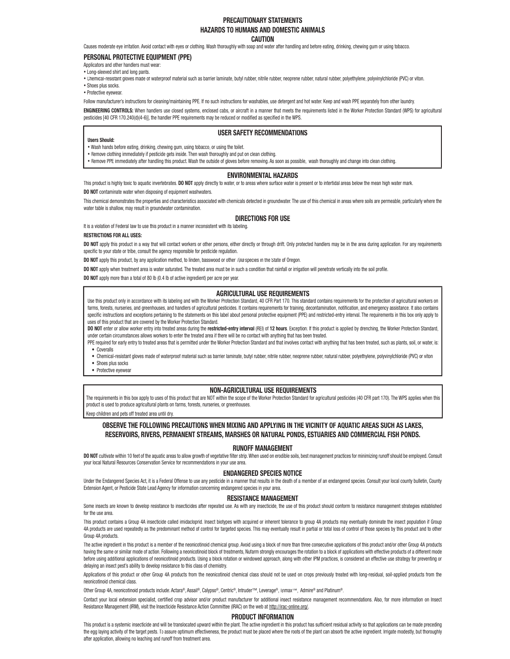### **PRECAUTIONARY STATEMENTS HAZARDS TO HUMANS AND DOMESTIC ANIMALS**

#### **CAUTION**

Causes moderate eye irritation. Avoid contact with eyes or clothing. Wash thoroughly with soap and water after handling and before eating, drinking, chewing gum or using tobacco.

#### **PERSONAL PROTECTIVE EQUIPMENT (PPE)**

Applicators and other handlers must wear:

• Long-sleeved shirt and long pants.

• Chemical-resistant gloves made of waterproof material such as barrier laminate, butyl rubber, nitrile rubber, neoprene rubber, natural rubber, polyethylene, polyvinylchloride (PVC) or viton.

- Shoes plus socks.
- Protective eyewear.

Follow manufacturer's instructions for cleaning/maintaining PPE. If no such instructions for washables, use detergent and hot water. Keep and wash PPE separately from other laundry.

**ENGINEERING CONTROLS:** When handlers use closed systems, enclosed cabs, or aircraft in a manner that meets the requirements listed in the Worker Protection Standard (WPS) for agricultural pesticides [40 CFR 170.240(d)(4-6)], the handler PPE requirements may be reduced or modified as specified in the WPS.

#### **USER SAFETY RECOMMENDATIONS**

#### **Users Should:**

- Wash hands before eating, drinking, chewing gum, using tobacco, or using the toilet.
- Remove clothing immediately if pesticide gets inside. Then wash thoroughly and put on clean clothing.
- Remove PPE immediately after handling this product. Wash the outside of gloves before removing. As soon as possible, wash thoroughly and change into clean clothing.

#### **ENVIRONMENTAL HAZARDS**

This product is highly toxic to aquatic invertebrates. DO NOT apply directly to water, or to areas where surface water is present or to intertidal areas below the mean high water mark. **DO NOT** contaminate water when disposing of equipment washwaters.

This chemical demonstrates the properties and characteristics associated with chemicals detected in groundwater. The use of this chemical in areas where soils are permeable, particularly where the water table is shallow, may result in groundwater contamination.

#### **DIRECTIONS FOR USE**

It is a violation of Federal law to use this product in a manner inconsistent with its labeling.

#### **RESTRICTIONS FOR ALL USES:**

DO NOT apply this product in a way that will contact workers or other persons, either directly or through drift. Only protected handlers may be in the area during application. For any requirements specific to your state or tribe, consult the agency responsible for pesticide regulation.

**DO NOT** apply this product, by any application method, to linden, basswood or other *Tilia* species in the State of Oregon.

DO NOT apply when treatment area is water saturated. The treated area must be in such a condition that rainfall or irrigation will penetrate vertically into the soil profile.

**DO NOT** apply more than a total of 80 lb (0.4 lb of active ingredient) per acre per year.

#### **AGRICULTURAL USE REQUIREMENTS**

Use this product only in accordance with its labeling and with the Worker Protection Standard, 40 CFR Part 170. This standard contains requirements for the protection of agricultural workers on farms, forests, nurseries, and greenhouses, and handlers of agricultural pesticides. It contains requirements for training, decontamination, notification, and emergency assistance. It also contains specific instructions and exceptions pertaining to the statements on this label about personal protective equipment (PPE) and restricted-entry interval. The requirements in this box only apply to uses of this product that are covered by the Worker Protection Standard.

DO NOT enter or allow worker entry into treated areas during the restricted-entry interval (REI) of 12 hours. Exception: If this product is applied by drenching, the Worker Protection Standard, under certain circumstances allows workers to enter the treated area if there will be no contact with anything that has been treated.

PPE required for early entry to treated areas that is permitted under the Worker Protection Standard and that involves contact with anything that has been treated, such as plants, soil, or water, is: • Coveralls

• Chemical-resistant gloves made of waterproof material such as barrier laminate, butyl rubber, nitrile rubber, neoprene rubber, natural rubber, polyethylene, polyvinylchloride (PVC) or viton

- Shoes plus socks
- Protective eyewear

#### **NON-AGRICULTURAL USE REQUIREMENTS**

The requirements in this box apply to uses of this product that are NOT within the scope of the Worker Protection Standard for agricultural pesticides (40 CFR part 170). The WPS applies when this product is used to produce agricultural plants on farms, forests, nurseries, or greenhouses.

Keep children and pets off treated area until dry.

#### **OBSERVE THE FOLLOWING PRECAUTIONS WHEN MIXING AND APPLYING IN THE VICINITY OF AQUATIC AREAS SUCH AS LAKES, RESERVOIRS, RIVERS, PERMANENT STREAMS, MARSHES OR NATURAL PONDS, ESTUARIES AND COMMERCIAL FISH PONDS.**

#### **RUNOFF MANAGEMENT**

DO NOT cultivate within 10 feet of the aquatic areas to allow growth of vegetative filter strip. When used on erodible soils, best management practices for minimizing runoff should be employed. Consult your local Natural Resources Conservation Service for recommendations in your use area.

#### **ENDANGERED SPECIES NOTICE**

Under the Endangered Species Act, it is a Federal Offense to use any pesticide in a manner that results in the death of a member of an endangered species. Consult your local county bulletin, County Extension Agent, or Pesticide State Lead Agency for information concerning endangered species in your area.

#### **RESISTANCE MANAGEMENT**

Some insects are known to develop resistance to insecticides after repeated use. As with any insecticide, the use of this product should conform to resistance management strategies established for the use area.

This product contains a Group 4A insecticide called imidacloprid. Insect biotypes with acquired or inherent tolerance to group 4A products may eventually dominate the insect population if Group 4A products are used repeatedly as the predominant method of control for targeted species. This may eventually result in partial or total loss of control of those species by this product and to other Group 4A products.

The active ingredient in this product is a member of the neonicotinoid chemical group. Avoid using a block of more than three consecutive applications of this product and/or other Group 4A products having the same or similar mode of action. Following a neonicotinoid block of treatments, Nufarm strongly encourages the rotation to a block of applications with effective products of a different mode before using additional applications of neonicotinoid products. Using a block rotation or windowed approach, along with other IPM practices, is considered an effective use strategy for preventing or delaying an insect pest's ability to develop resistance to this class of chemistry.

Applications of this product or other Group 4A products from the neonicotinoid chemical class should not be used on crops previously treated with long-residual, soil-applied products from the neonicotinoid chemical class.

Other Group 4A, neonicotinoid products include: Actara®, Assail®, Calypso®, Centric®, Intruder™, Leverage®, Trimax™, Admire® and Platinum®.

Contact your local extension specialist, certified crop advisor and/or product manufacturer for additional insect resistance management recommendations. Also, for more information on Insect Resistance Management (IRM), visit the Insecticide Resistance Action Committee (IRAC) on the web at http://irac-online.org/.

#### **PRODUCT INFORMATION**

This product is a systemic insecticide and will be translocated upward within the plant. The active ingredient in this product has sufficient residual activity so that applications can be made preceding the egg laying activity of the target pests. To assure optimum effectiveness, the product must be placed where the roots of the plant can absorb the active ingredient. Irrigate modestly, but thoroughly after application, allowing no leaching and runoff from treatment area.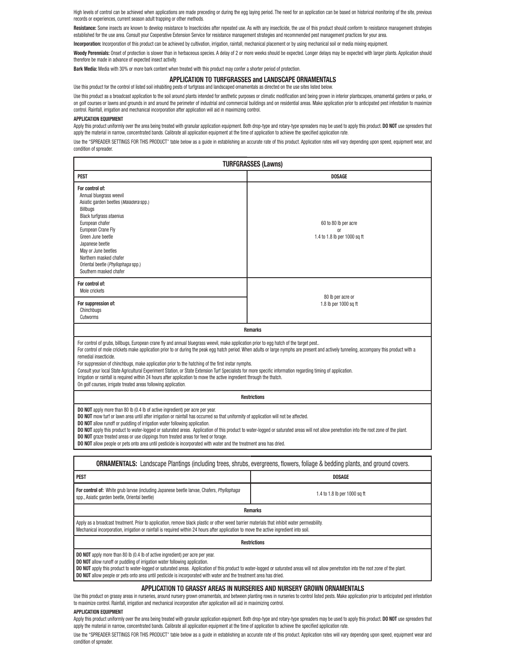High levels of control can be achieved when applications are made preceding or during the egg laying period. The need for an application can be based on historical monitoring of the site, previous records or experiences, current season adult trapping or other methods.

Resistance: Some insects are known to develop resistance to Insecticides after repeated use. As with any insecticide, the use of this product should conform to resistance management strategies established for the use area. Consult your Cooperative Extension Service for resistance management strategies and recommended pest management practices for your area.

**Incorporation:** Incorporation of this product can be achieved by cultivation, irrigation, rainfall, mechanical placement or by using mechanical soil or media mixing equipment.

Woody Perennials: Onset of protection is slower than in herbaceous species. A delay of 2 or more weeks should be expected. Longer delays may be expected with larger plants. Application should therefore be made in advance of expected insect activity.

**Bark Media:** Media with 30% or more bark content when treated with this product may confer a shorter period of protection.

#### **APPLICATION TO TURFGRASSES and LANDSCAPE ORNAMENTALS**

Use this product for the control of listed soil inhabiting pests of turfgrass and landscaped ornamentals as directed on the use sites listed below.

Use this product as a broadcast application to the soil around plants intended for aesthetic purposes or climatic modification and being grown in interior plantscapes, ornamental gardens or parks, or on golf courses or lawns and grounds in and around the perimeter of industrial and commercial buildings and on residential areas. Make application prior to anticipated pest infestation to maximize control. Rainfall, irrigation and mechanical incorporation after application will aid in maximizing control.

#### **APPLICATION EQUIPMENT**

Apply this product uniformly over the area being treated with granular application equipment. Both drop-type and rotary-type spreaders may be used to apply this product. **DO NOT** use spreaders that apply the material in narrow, concentrated bands. Calibrate all application equipment at the time of application to achieve the specified application rate.

Use the "SPREADER SETTINGS FOR THIS PRODUCT" table below as a guide in establishing an accurate rate of this product. Application rates will vary depending upon speed, equipment wear, and condition of spreader.

| <b>TURFGRASSES (Lawns)</b>                                                                                                                                                                                                                                                                                                                                                                                                                                                                                                                                                                                                                                                                                                                                                                                                    |                                                                       |  |  |  |  |  |  |
|-------------------------------------------------------------------------------------------------------------------------------------------------------------------------------------------------------------------------------------------------------------------------------------------------------------------------------------------------------------------------------------------------------------------------------------------------------------------------------------------------------------------------------------------------------------------------------------------------------------------------------------------------------------------------------------------------------------------------------------------------------------------------------------------------------------------------------|-----------------------------------------------------------------------|--|--|--|--|--|--|
| <b>PEST</b>                                                                                                                                                                                                                                                                                                                                                                                                                                                                                                                                                                                                                                                                                                                                                                                                                   | <b>DOSAGE</b>                                                         |  |  |  |  |  |  |
| For control of:<br>Annual bluegrass weevil<br>Asiatic garden beetles (Maladera spp.)<br>Billbugs<br><b>Black turfgrass ataenius</b><br>European chafer<br>European Crane Fly<br>Green June beetle<br>Japanese beetle<br>May or June beetles<br>Northern masked chafer<br>Oriental beetle (Phyllophaga spp.)<br>Southern masked chafer                                                                                                                                                                                                                                                                                                                                                                                                                                                                                         | 60 to 80 lb per acre<br><sub>0r</sub><br>1.4 to 1.8 lb per 1000 sq ft |  |  |  |  |  |  |
| For control of:<br>Mole crickets                                                                                                                                                                                                                                                                                                                                                                                                                                                                                                                                                                                                                                                                                                                                                                                              |                                                                       |  |  |  |  |  |  |
| 80 lb per acre or<br>For suppression of:<br>1.8 lb per 1000 sq ft<br>Chinchbugs<br>Cutworms                                                                                                                                                                                                                                                                                                                                                                                                                                                                                                                                                                                                                                                                                                                                   |                                                                       |  |  |  |  |  |  |
| <b>Remarks</b>                                                                                                                                                                                                                                                                                                                                                                                                                                                                                                                                                                                                                                                                                                                                                                                                                |                                                                       |  |  |  |  |  |  |
| For control of grubs, billbugs, European crane fly and annual bluegrass weevil, make application prior to egg hatch of the target pest<br>For control of mole crickets make application prior to or during the peak egg hatch period. When adults or large nymphs are present and actively tunneling, accompany this product with a<br>remedial insecticide.<br>For suppression of chinchbugs, make application prior to the hatching of the first instar nymphs.<br>Consult your local State Agricultural Experiment Station, or State Extension Turf Specialists for more specific information regarding timing of application.<br>Irrigation or rainfall is required within 24 hours after application to move the active ingredient through the thatch.<br>On golf courses, irrigate treated areas following application. |                                                                       |  |  |  |  |  |  |
| <b>Restrictions</b>                                                                                                                                                                                                                                                                                                                                                                                                                                                                                                                                                                                                                                                                                                                                                                                                           |                                                                       |  |  |  |  |  |  |
| DO NOT apply more than 80 lb (0.4 lb of active ingredient) per acre per year.<br>DO NOT mow turf or lawn area until after irrigation or rainfall has occurred so that uniformity of application will not be affected.<br><b>DO NOT</b> allow runoff or puddling of irrigation water following application.<br>DO NOT apply this product to water-logged or saturated areas. Application of this product to water-logged or saturated areas will not allow penetration into the root zone of the plant.<br><b>DO NOT</b> graze treated areas or use clippings from treated areas for feed or forage.<br><b>DO NOT</b> allow people or pets onto area until pesticide is incorporated with water and the treatment area has dried.                                                                                              |                                                                       |  |  |  |  |  |  |
| <b>ORNAMENTALS:</b> Landscape Plantings (including trees, shrubs, evergreens, flowers, foliage & bedding plants, and ground covers.                                                                                                                                                                                                                                                                                                                                                                                                                                                                                                                                                                                                                                                                                           |                                                                       |  |  |  |  |  |  |
| PEST<br><b>DOSAGE</b>                                                                                                                                                                                                                                                                                                                                                                                                                                                                                                                                                                                                                                                                                                                                                                                                         |                                                                       |  |  |  |  |  |  |
| For control of: White grub larvae (including Japanese beetle larvae, Chafers, Phyllophaga<br>spp., Asiatic garden beetle, Oriental beetle)                                                                                                                                                                                                                                                                                                                                                                                                                                                                                                                                                                                                                                                                                    | 1.4 to 1.8 lb per 1000 sq ft                                          |  |  |  |  |  |  |
| <b>Remarks</b>                                                                                                                                                                                                                                                                                                                                                                                                                                                                                                                                                                                                                                                                                                                                                                                                                |                                                                       |  |  |  |  |  |  |
| Apply as a broadcast treatment. Prior to application, remove black plastic or other weed barrier materials that inhibit water permeability.<br>Mechanical incorporation, irrigation or rainfall is required within 24 hours after application to move the active ingredient into soil.                                                                                                                                                                                                                                                                                                                                                                                                                                                                                                                                        |                                                                       |  |  |  |  |  |  |
| <b>Restrictions</b>                                                                                                                                                                                                                                                                                                                                                                                                                                                                                                                                                                                                                                                                                                                                                                                                           |                                                                       |  |  |  |  |  |  |
|                                                                                                                                                                                                                                                                                                                                                                                                                                                                                                                                                                                                                                                                                                                                                                                                                               |                                                                       |  |  |  |  |  |  |

**DO NOT** apply more than 80 lb (0.4 lb of active ingredient) per acre per year.

**DO NOT** allow runoff or puddling of irrigation water following application.

**DO NOT** apply this product to water-logged or saturated areas. Application of this product to water-logged or saturated areas will not allow penetration into the root zone of the plant. **DO NOT** allow people or pets onto area until pesticide is incorporated with water and the treatment area has dried.

#### **APPLICATION TO GRASSY AREAS IN NURSERIES AND NURSERY GROWN ORNAMENTALS**

Use this product on grassy areas in nurseries, around nursery grown ornamentals, and between planting rows in nurseries to control listed pests. Make application prior to anticipated pest infestation to maximize control. Rainfall, irrigation and mechanical incorporation after application will aid in maximizing control.

#### **APPLICATION EQUIPMENT**

Apply this product uniformly over the area being treated with granular application equipment. Both drop-type and rotary-type spreaders may be used to apply this product. **DO NOT** use spreaders that apply the material in narrow, concentrated bands. Calibrate all application equipment at the time of application to achieve the specified application rate.

Use the "SPREADER SETTINGS FOR THIS PRODUCT" table below as a quide in establishing an accurate rate of this product. Application rates will vary depending upon speed, equipment wear and condition of spreader.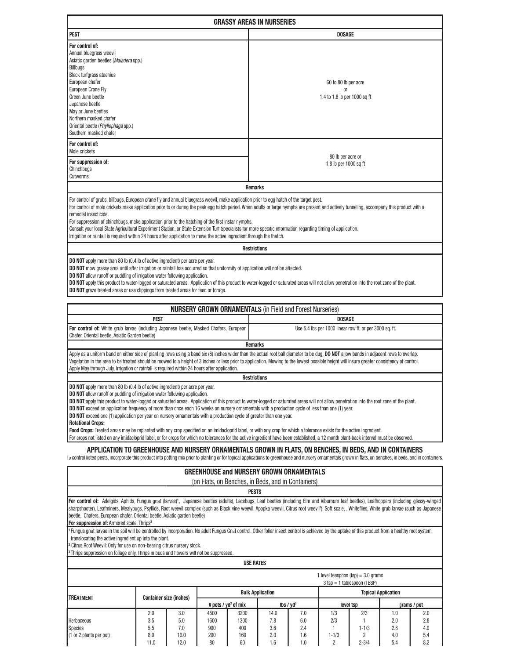| <b>DOSAGE</b>                                                                                                                                                                                                                                                                                                                                                                                                                                                                                                                                                                                                                                                                                                                                                |  |  |  |  |  |  |
|--------------------------------------------------------------------------------------------------------------------------------------------------------------------------------------------------------------------------------------------------------------------------------------------------------------------------------------------------------------------------------------------------------------------------------------------------------------------------------------------------------------------------------------------------------------------------------------------------------------------------------------------------------------------------------------------------------------------------------------------------------------|--|--|--|--|--|--|
| 60 to 80 lb per acre<br><sub>0r</sub><br>1.4 to 1.8 lb per 1000 sq ft                                                                                                                                                                                                                                                                                                                                                                                                                                                                                                                                                                                                                                                                                        |  |  |  |  |  |  |
|                                                                                                                                                                                                                                                                                                                                                                                                                                                                                                                                                                                                                                                                                                                                                              |  |  |  |  |  |  |
| 80 lb per acre or<br>1.8 lb per 1000 sq ft                                                                                                                                                                                                                                                                                                                                                                                                                                                                                                                                                                                                                                                                                                                   |  |  |  |  |  |  |
| <b>Remarks</b>                                                                                                                                                                                                                                                                                                                                                                                                                                                                                                                                                                                                                                                                                                                                               |  |  |  |  |  |  |
| For control of grubs, billbugs, European crane fly and annual bluegrass weevil, make application prior to egg hatch of the target pest.<br>For control of mole crickets make application prior to or during the peak egg hatch period. When adults or large nymphs are present and actively tunneling, accompany this product with a<br>remedial insecticide.<br>For suppression of chinchbugs, make application prior to the hatching of the first instar nymphs.<br>Consult your local State Agricultural Experiment Station, or State Extension Turf Specialists for more specific information regarding timing of application.<br>Irrigation or rainfall is required within 24 hours after application to move the active ingredient through the thatch. |  |  |  |  |  |  |
| Roetrictione                                                                                                                                                                                                                                                                                                                                                                                                                                                                                                                                                                                                                                                                                                                                                 |  |  |  |  |  |  |

#### **Restrictions**

**DO NOT** apply more than 80 lb (0.4 lb of active ingredient) per acre per year.

**DO NOT** mow grassy area until after irrigation or rainfall has occurred so that uniformity of application will not be affected.

**DO NOT** allow runoff or puddling of irrigation water following application.

'n

DO NOT apply this product to water-logged or saturated areas. Application of this product to water-logged or saturated areas will not allow penetration into the root zone of the plant. **DO NOT** graze treated areas or use clippings from treated areas for feed or forage.

| <b>NURSERY GROWN ORNAMENTALS</b> (in Field and Forest Nurseries)                                                                                                                                                                                                                                                                                                                                                                                                                                                                                                                                                                                                             |                                                         |  |  |  |  |  |  |
|------------------------------------------------------------------------------------------------------------------------------------------------------------------------------------------------------------------------------------------------------------------------------------------------------------------------------------------------------------------------------------------------------------------------------------------------------------------------------------------------------------------------------------------------------------------------------------------------------------------------------------------------------------------------------|---------------------------------------------------------|--|--|--|--|--|--|
| PEST                                                                                                                                                                                                                                                                                                                                                                                                                                                                                                                                                                                                                                                                         | <b>DOSAGE</b>                                           |  |  |  |  |  |  |
| For control of: White grub larvae (including Japanese beetle, Masked Chafers, European<br>Chafer, Oriental beetle, Asiatic Garden beetle)                                                                                                                                                                                                                                                                                                                                                                                                                                                                                                                                    | Use 5.4 lbs per 1000 linear row ft. or per 3000 sq. ft. |  |  |  |  |  |  |
| <b>Remarks</b>                                                                                                                                                                                                                                                                                                                                                                                                                                                                                                                                                                                                                                                               |                                                         |  |  |  |  |  |  |
| Apply as a uniform band on either side of planting rows using a band six (6) inches wider than the actual root ball diameter to be dug. DO NOT allow bands in adjacent rows to overlap.<br>Vegetation in the area to be treated should be mowed to a height of 3 inches or less prior to application. Mowing to the lowest possible height will insure greater consistency of control.<br>Apply May through July. Irrigation or rainfall is required within 24 hours after application.                                                                                                                                                                                      |                                                         |  |  |  |  |  |  |
| <b>Restrictions</b>                                                                                                                                                                                                                                                                                                                                                                                                                                                                                                                                                                                                                                                          |                                                         |  |  |  |  |  |  |
| <b>DO NOT</b> apply more than 80 lb (0.4 lb of active ingredient) per acre per year.<br><b>DO NOT</b> allow runoff or puddling of irrigation water following application.<br>DO NOT apply this product to water-logged or saturated areas. Application of this product to water-logged or saturated areas will not allow penetration into the root zone of the plant.<br>DO NOT exceed an application frequency of more than once each 16 weeks on nursery ornamentals with a production cycle of less than one (1) year.<br>DO NOT exceed one (1) application per year on nursery ornamentals with a production cycle of greater than one year.<br><b>Rotational Crops:</b> |                                                         |  |  |  |  |  |  |
| Food Asses. The doubless sends a selected with converse security to se included sealthed considerate and formation of the food the distribution of the interest of the interest of the food distribution of the food distribut                                                                                                                                                                                                                                                                                                                                                                                                                                               |                                                         |  |  |  |  |  |  |

**Food Crops:** Treated areas may be replanted with any crop specified on an imidacloprid label, or with any crop for which a tolerance exists for the active ingredient. For crops not listed on any imidacloprid label, or for crops for which no tolerances for the active ingredient have been established, a 12 month plant-back interval must be observed.

## **APPLICATION TO GREENHOUSE AND NURSERY ORNAMENTALS GROWN IN FLATS, ON BENCHES, IN BEDS, AND IN CONTAINERS**

To control listed pests, incorporate this product into potting mix prior to planting or for topical applications to greenhouse and nursery ornamentals grown in flats, on benches, in beds, and in containers.

| <b>GREENHOUSE and NURSERY GROWN ORNAMENTALS</b><br>(on Flats, on Benches, in Beds, and in Containers)                                                                                                                                                                                                                                                                                                                                                                                                                                                |                          |                           |                                        |                            |                           |                          |                         |                       |                          |                          |
|------------------------------------------------------------------------------------------------------------------------------------------------------------------------------------------------------------------------------------------------------------------------------------------------------------------------------------------------------------------------------------------------------------------------------------------------------------------------------------------------------------------------------------------------------|--------------------------|---------------------------|----------------------------------------|----------------------------|---------------------------|--------------------------|-------------------------|-----------------------|--------------------------|--------------------------|
|                                                                                                                                                                                                                                                                                                                                                                                                                                                                                                                                                      |                          |                           |                                        | <b>PESTS</b>               |                           |                          |                         |                       |                          |                          |
| For control of: Adelgids, Aphids, Fungus gnat (larvae) <sup>1</sup> , Japanese beetles (adults), Lacebugs, Leaf beetles (including Elm and Viburnum leaf beetles), Leafhoppers (including glassy-winged<br>sharpshooter), Leafminers, Mealybugs, Psyllids, Root weevil complex (such as Black vine weevil, Apopka weevil, Citrus root weevil?), Soft scale, , Whiteflies, White grub larvae (such as Japanese<br>beetle, Chafers, European chafer, Oriental beetle, Asiatic garden beetle)<br>For suppression of: Armored scale, Thrips <sup>3</sup> |                          |                           |                                        |                            |                           |                          |                         |                       |                          |                          |
| <sup>r</sup> Fungus gnat larvae in the soil will be controlled by incorporation. No adult Fungus Gnat control. Other foliar insect control is achieved by the uptake of this product from a healthy root system<br>translocating the active ingredient up into the plant.<br><sup>2</sup> Citrus Root Weevil: Only for use on non-bearing citrus nursery stock.<br><sup>3</sup> Thrips suppression on foliage only. Thrips in buds and flowers will not be suppressed.                                                                               |                          |                           |                                        |                            |                           |                          |                         |                       |                          |                          |
| <b>USE RATES</b>                                                                                                                                                                                                                                                                                                                                                                                                                                                                                                                                     |                          |                           |                                        |                            |                           |                          |                         |                       |                          |                          |
| 1 level teaspoon $(tsp) = 3.0$ grams<br>$3$ tsp = 1 tablespoon (TBSP)                                                                                                                                                                                                                                                                                                                                                                                                                                                                                |                          |                           |                                        |                            |                           |                          |                         |                       |                          |                          |
| <b>Bulk Application</b><br><b>Topical Application</b><br><b>Container size (inches)</b>                                                                                                                                                                                                                                                                                                                                                                                                                                                              |                          |                           |                                        |                            |                           |                          |                         |                       |                          |                          |
| <b>TREATMENT</b>                                                                                                                                                                                                                                                                                                                                                                                                                                                                                                                                     |                          |                           | # pots / $yd^3$ of mix<br>lbs / $yd^3$ |                            |                           | level tsp                |                         | grams / pot           |                          |                          |
| Herbaceous<br><b>Species</b>                                                                                                                                                                                                                                                                                                                                                                                                                                                                                                                         | 2.0<br>3.5<br>5.5<br>8.0 | 3.0<br>5.0<br>7.0<br>10.0 | 4500<br>1600<br>900<br>200             | 3200<br>1300<br>400<br>160 | 14.0<br>7.8<br>3.6<br>2.0 | 7.0<br>6.0<br>2.4<br>1.6 | 1/3<br>2/3<br>$1 - 1/3$ | 2/3<br>$1 - 1/3$<br>2 | 1.0<br>2.0<br>2.8<br>4.0 | 2.0<br>2.8<br>4.0<br>5.4 |
| (1 or 2 plants per pot)                                                                                                                                                                                                                                                                                                                                                                                                                                                                                                                              | 11.0                     | 12.0                      | 80                                     | 60                         | .6                        | 1.0                      | 2                       | $2 - 3/4$             | 5.4                      | 8.2                      |